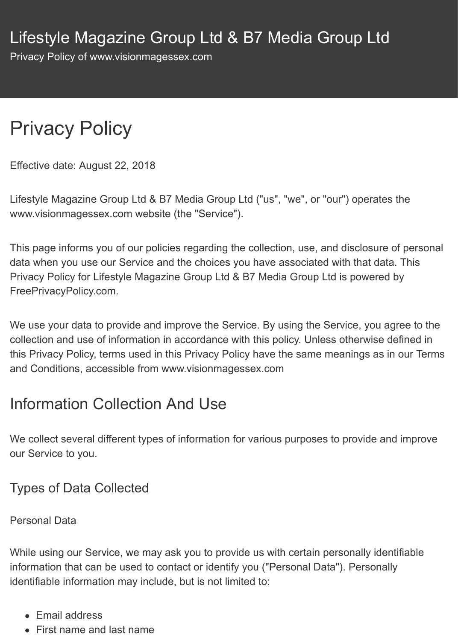# Privacy Policy

Effective date: August 22, 2018

Lifestyle Magazine Group Ltd & B7 Media Group Ltd ("us", "we", or "our") operates the www.visionmagessex.com website (the "Service").

This page informs you of our policies regarding the collection, use, and disclosure of data when you use our Service and the choices you have associated with that data. Privacy Policy for Lifestyle Magazine Group Ltd & B7 Media Group Ltd is powered by FreePrivacyPolicy.com.

We use your data to provide and improve the Service. By using the Service, you agree collection and use of information in accordance with this policy. Unless otherwise def this Privacy Policy, terms used in this Privacy Policy have the same meanings as in our and Conditions, accessible from www.visionmagessex.com

## [Information Col](https://www.freeprivacypolicy.com/free-privacy-policy-generator.php)lection And Use

We collect several different types of information for various purposes to provide and our Service to you.

### Types of Data Collected

Personal Data

While using our Service, we may ask you to provide us with certain personally identif information that can be used to contact or identify you ("Personal Data"). Personally identifiable information may include, but is not limited to:

- Email address
- First name and last name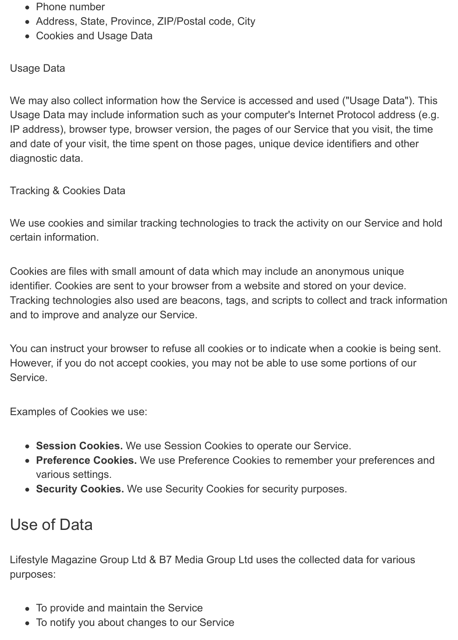- Phone number
- Address, State, Province, ZIP/Postal code, City
- Cookies and Usage Data

#### Usage Data

We may also collect information how the Service is accessed and used ("Usage Data"). This Usage Data may include information such as your computer's Internet Protocol address (e.g. IP address), browser type, browser version, the pages of our Service that you visit, the time and date of your visit, the time spent on those pages, unique device identifiers and other diagnostic data.

#### Tracking & Cookies Data

We use cookies and similar tracking technologies to track the activity on our Service and hold certain information.

Cookies are files with small amount of data which may include an anonymous unique identifier. Cookies are sent to your browser from a website and stored on your device. Tracking technologies also used are beacons, tags, and scripts to collect and track information and to improve and analyze our Service.

You can instruct your browser to refuse all cookies or to indicate when a cookie is being sent. However, if you do not accept cookies, you may not be able to use some portions of our Service.

Examples of Cookies we use:

- **Session Cookies.** We use Session Cookies to operate our Service.
- **Preference Cookies.** We use Preference Cookies to remember your preferences and various settings.
- **Security Cookies.** We use Security Cookies for security purposes.

## Use of Data

Lifestyle Magazine Group Ltd & B7 Media Group Ltd uses the collected data for various purposes:

- To provide and maintain the Service
- To notify you about changes to our Service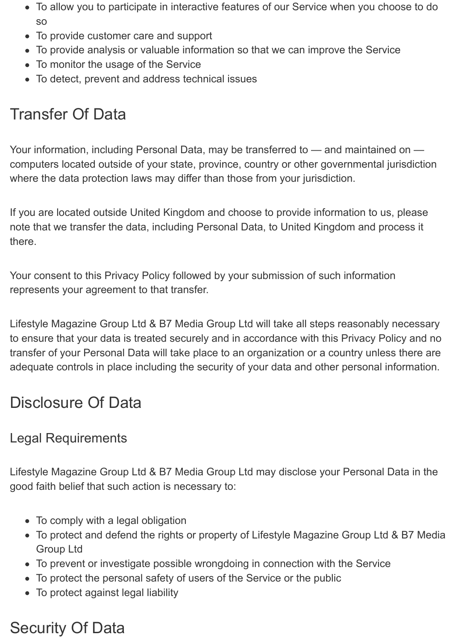- To allow you to participate in interactive features of our Service when you choose to do so
- To provide customer care and support
- To provide analysis or valuable information so that we can improve the Service
- To monitor the usage of the Service
- To detect, prevent and address technical issues

# Transfer Of Data

Your information, including Personal Data, may be transferred to — and maintained on computers located outside of your state, province, country or other governmental jurisdiction where the data protection laws may differ than those from your jurisdiction.

If you are located outside United Kingdom and choose to provide information to us, please note that we transfer the data, including Personal Data, to United Kingdom and process it there.

Your consent to this Privacy Policy followed by your submission of such information represents your agreement to that transfer.

Lifestyle Magazine Group Ltd & B7 Media Group Ltd will take all steps reasonably necessary to ensure that your data is treated securely and in accordance with this Privacy Policy and no transfer of your Personal Data will take place to an organization or a country unless there are adequate controls in place including the security of your data and other personal information.

## Disclosure Of Data

### Legal Requirements

Lifestyle Magazine Group Ltd & B7 Media Group Ltd may disclose your Personal Data in the good faith belief that such action is necessary to:

- To comply with a legal obligation
- To protect and defend the rights or property of Lifestyle Magazine Group Ltd & B7 Media Group Ltd
- To prevent or investigate possible wrongdoing in connection with the Service
- To protect the personal safety of users of the Service or the public
- To protect against legal liability

# Security Of Data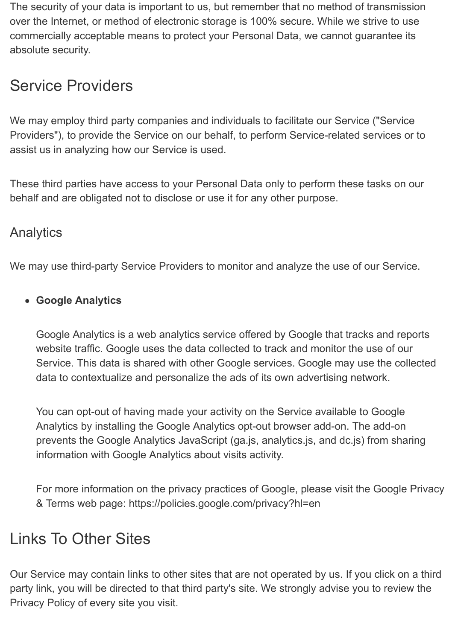We may employ third party companies and individuals to facilitate our Service ("Service Providers"), to provide the Service on our behalf, to perform Service-related services assist us in analyzing how our Service is used.

These third parties have access to your Personal Data only to perform these tasks on behalf and are obligated not to disclose or use it for any other purpose.

### **Analytics**

We may use third-party Service Providers to monitor and analyze the use of our Service.

#### **Google Analytics**

Google Analytics is a web analytics service offered by Google that tracks and reports website traffic. Google uses the data collected to track and monitor the use of our Service. This data is shared with other Google services. Google may use the co data to contextualize and personalize the ads of its own advertising network.

You can opt-out of having made your activity on the Service available to Google Analytics by installing the Google Analytics opt-out browser add-on. The add-on prevents the Google Analytics JavaScript (ga.js, analytics.js, and dc.js) from sh information with Google Analytics about visits activity.

For more information on the privacy practices of Google, please visit the Googl & Terms web page: https://policies.google.com/privacy?hl=en

### Links To Other Sites

Our Service may contain links to other sites that are not operated by us. If you click on party link, you will be directed to that third party's site. We strongly advise you to revi Privacy Policy of every site you visit.